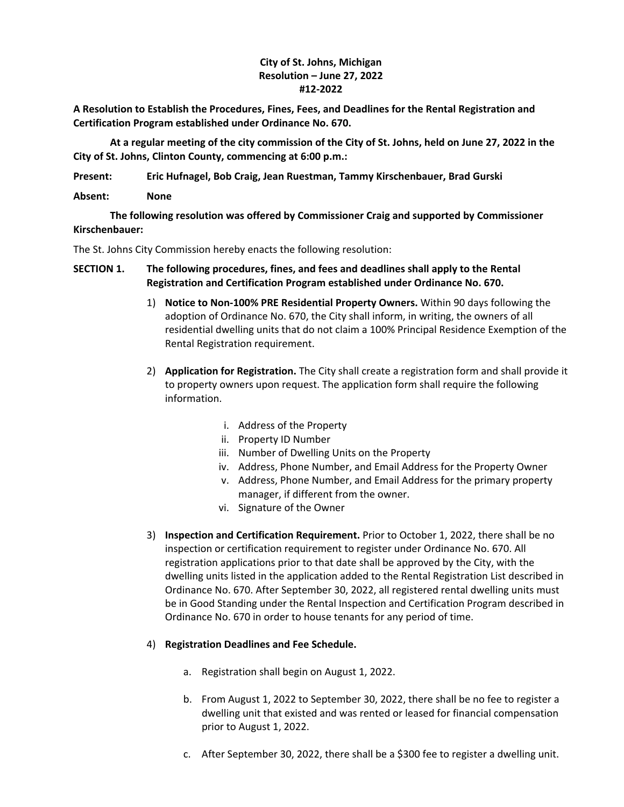## **City of St. Johns, Michigan Resolution – June 27, 2022 #12-2022**

**A Resolution to Establish the Procedures, Fines, Fees, and Deadlines for the Rental Registration and Certification Program established under Ordinance No. 670.**

**At a regular meeting of the city commission of the City of St. Johns, held on June 27, 2022 in the City of St. Johns, Clinton County, commencing at 6:00 p.m.:**

**Present: Eric Hufnagel, Bob Craig, Jean Ruestman, Tammy Kirschenbauer, Brad Gurski**

**Absent: None**

**The following resolution was offered by Commissioner Craig and supported by Commissioner Kirschenbauer:**

The St. Johns City Commission hereby enacts the following resolution:

## **SECTION 1. The following procedures, fines, and fees and deadlines shall apply to the Rental Registration and Certification Program established under Ordinance No. 670.**

- 1) **Notice to Non-100% PRE Residential Property Owners.** Within 90 days following the adoption of Ordinance No. 670, the City shall inform, in writing, the owners of all residential dwelling units that do not claim a 100% Principal Residence Exemption of the Rental Registration requirement.
- 2) **Application for Registration.** The City shall create a registration form and shall provide it to property owners upon request. The application form shall require the following information.
	- i. Address of the Property
	- ii. Property ID Number
	- iii. Number of Dwelling Units on the Property
	- iv. Address, Phone Number, and Email Address for the Property Owner
	- v. Address, Phone Number, and Email Address for the primary property manager, if different from the owner.
	- vi. Signature of the Owner
- 3) **Inspection and Certification Requirement.** Prior to October 1, 2022, there shall be no inspection or certification requirement to register under Ordinance No. 670. All registration applications prior to that date shall be approved by the City, with the dwelling units listed in the application added to the Rental Registration List described in Ordinance No. 670. After September 30, 2022, all registered rental dwelling units must be in Good Standing under the Rental Inspection and Certification Program described in Ordinance No. 670 in order to house tenants for any period of time.

## 4) **Registration Deadlines and Fee Schedule.**

- a. Registration shall begin on August 1, 2022.
- b. From August 1, 2022 to September 30, 2022, there shall be no fee to register a dwelling unit that existed and was rented or leased for financial compensation prior to August 1, 2022.
- c. After September 30, 2022, there shall be a \$300 fee to register a dwelling unit.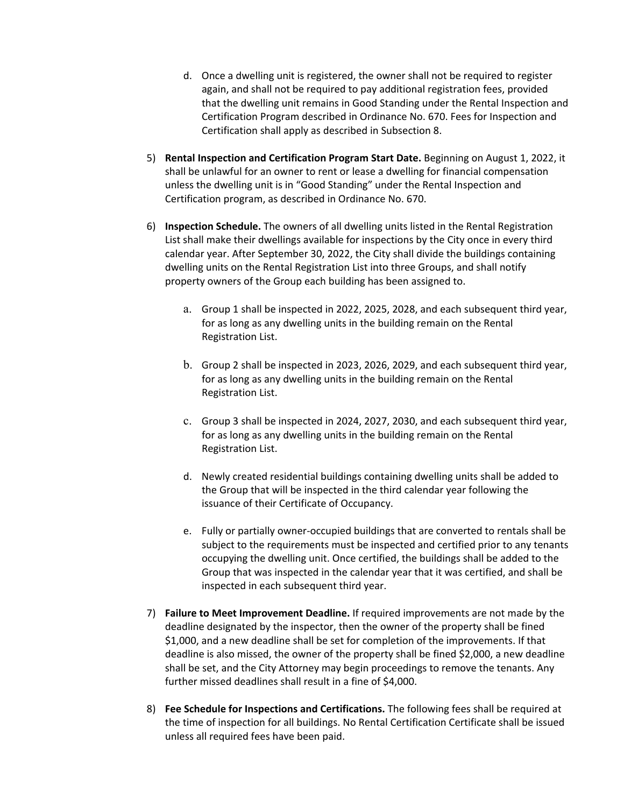- d. Once a dwelling unit is registered, the owner shall not be required to register again, and shall not be required to pay additional registration fees, provided that the dwelling unit remains in Good Standing under the Rental Inspection and Certification Program described in Ordinance No. 670. Fees for Inspection and Certification shall apply as described in Subsection 8.
- 5) **Rental Inspection and Certification Program Start Date.** Beginning on August 1, 2022, it shall be unlawful for an owner to rent or lease a dwelling for financial compensation unless the dwelling unit is in "Good Standing" under the Rental Inspection and Certification program, as described in Ordinance No. 670.
- 6) **Inspection Schedule.** The owners of all dwelling units listed in the Rental Registration List shall make their dwellings available for inspections by the City once in every third calendar year. After September 30, 2022, the City shall divide the buildings containing dwelling units on the Rental Registration List into three Groups, and shall notify property owners of the Group each building has been assigned to.
	- a. Group 1 shall be inspected in 2022, 2025, 2028, and each subsequent third year, for as long as any dwelling units in the building remain on the Rental Registration List.
	- b. Group 2 shall be inspected in 2023, 2026, 2029, and each subsequent third year, for as long as any dwelling units in the building remain on the Rental Registration List.
	- c. Group 3 shall be inspected in 2024, 2027, 2030, and each subsequent third year, for as long as any dwelling units in the building remain on the Rental Registration List.
	- d. Newly created residential buildings containing dwelling units shall be added to the Group that will be inspected in the third calendar year following the issuance of their Certificate of Occupancy.
	- e. Fully or partially owner-occupied buildings that are converted to rentals shall be subject to the requirements must be inspected and certified prior to any tenants occupying the dwelling unit. Once certified, the buildings shall be added to the Group that was inspected in the calendar year that it was certified, and shall be inspected in each subsequent third year.
- 7) **Failure to Meet Improvement Deadline.** If required improvements are not made by the deadline designated by the inspector, then the owner of the property shall be fined \$1,000, and a new deadline shall be set for completion of the improvements. If that deadline is also missed, the owner of the property shall be fined \$2,000, a new deadline shall be set, and the City Attorney may begin proceedings to remove the tenants. Any further missed deadlines shall result in a fine of \$4,000.
- 8) **Fee Schedule for Inspections and Certifications.** The following fees shall be required at the time of inspection for all buildings. No Rental Certification Certificate shall be issued unless all required fees have been paid.